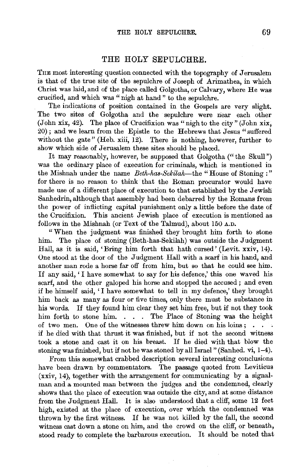## THE HOLY SEPULCHRE.

THE most interesting question connected with the topography of Jerusalem is that of the true site of the sepulchre of Joseph of Arimathea, in which Christ was laid, and of the place called Golgotha, or Calvary, where He was crucified, and which was" nigh at hand" to the sepulchre.

The indications of position contained in the Gospels are very slight. The two sites of Golgotha and the sepulchre were near each other (John xix, 42). The place of Crucifixion was "nigh to the city" (John xix, 20); and we learn from the Epistle to the Hebrews that Jesus" suffered without the gate" (Heb. xiii, 12). There is nothing, however, further to show which side of Jerusalem these sites should be placed.

It may reasonably, however, be supposed that Golgotha ("the Skull") was the ordinary place of execution for criminals, which is mentioned in the Mishnah under the name *Beth-has-Sekilah*-the "House of Stoning :" for there is no reason to think that the Roman procurator would have made use of a different place of execution to that established by the Jewish Sanhedrin, although that assembly had been debarred by the Romans from the power of inflicting capital punishment only a little before the date of the Crucifixion. This ancient Jewish place of execution is mentioned as follows in the Mishnah (or Text of the Talmud), about 150 A.D.

"When the judgment was finished they brought him forth to stone him. The place of stoning (Beth-has-Sekilah) was outside the Judgment Hall, as it is said, 'Bring him forth that hath cursed' (Levit. xxiv, 14). One stood at the door of the Judgment Hall with a scarf in his hand, and another man rode a horse far off from him, but so that he could see him. If any said, 'I have somewhat to say for his defence,' this one waved his scarf, and the other galoped his horse and stopped the accused ; and even if he himself said, 'I have somewhat to tell in my defence,' they brought him back as many as four or five times, only there must be substance in his words. If they found him clear they set him free, but if not they took him forth to stone him. . . . The Place of Stoning was the height of two men. One of the witnesses threw him down on his loins ; . . if he died with that thrust it was finished, but if not the second witness took a stone and cast it on his breast. If he died with that blow the stoning was finished, but if not he was stoned by all Israel" (Sanhed. vi, 1-4).

From this somewhat crabbed description several interesting conclusions have been drawn by commentators. The passage quoted from Leviticus (xxiv, 14), together with the arrangement for communicating by a signalman and a mounted man between the judges and the condemned, clearly shows that the place of execution was outside the city, and at some distance from the Judgment Hall. It is also understood that a cliff, some 12 feet high, existed at the place of execution, over which the condemned was thrown by the first witness. If he was not killed by the fall, the second witness cast down a stone on him, and the crowd on the cliff, or beneath, stood ready to complete the barbarous execution. It should be noted that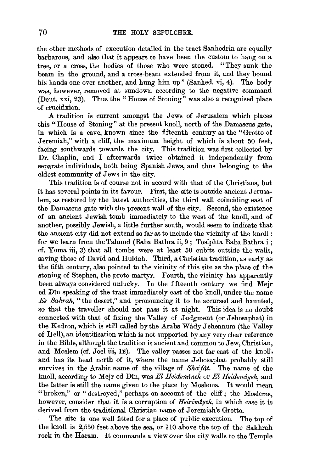the other methods of execution detailed in the tract Sanhedrin are equally barbarous, and also that it appears to have been the custom to hang on a tree, or a cross, the bodies of those who were stoned. "They sunk the beam in the ground, and a cross-beam extended from it, and they bound his hands one over another, and hung him up" (Sanhed. vi, 4). The body was, however, removed at sundown according to the negative command (Deut. xxi, 23). Thus the "House of Stoning" was also a recognised place of crucifixion.

A tradition is current amongst the Jews of Jerusalem which places this "House of Stoning" at the present knoll, north of the Damascus gate, in which is a cave, known since the fifteenth century as the "Grotto of Jeremiah," with a cliff, the maximum height of which is about 50 feet, facing southwards towards the city. This tradition was first collected by Dr. Chaplin, and I afterwards twice obtained it independently from separate individuals, both being Spanish Jews, and thus belonging to the oldest community of Jews in the city.

This tradition is of course not in accord with that of the Christians, but it has several points in its favour. First, the site is outside ancient Jerusalem, as restored by the latest authorities, the third wall coinciding east of the Damascus gate with the present wall of the city. Second, the existence of an ancient Jewish tomb immediately to the west of the knoll, and of another, possibly Jewish, a little further south, would seem to indicate that the ancient city did not extend so far as to include the vicinity of the knoll : for we learn from the Talmud (Baba Bathra ii, 9; Tosiphta Baba Bathra i; cf. Yoma iii, 3) that all tombs were at least 50 cubits outside the walls, saving those of David and Huldah. Third, a Christian tradition, as early as the fifth century, also pointed to the vicinity of this site as the place of the stoning of Stephen, the proto-martyr. Fourth, the vicinity has apparently been always considered unlucky. In the fifteenth century we find Mejr ed Din speaking of the tract immediately east of the knoll, under the name *Es Sahrah,* "the desert," and pronouncing it to be accursed and haunted, so that the traveller should not pass it at night. This idea is no doubt connected with that of fixing the Valley of Judgment (or Jehosaphat) in the Kedron, which is still called by the Arabs Wady Jehennum (the Valley of Hell), an identification which is not supported by any very clear reference in the Bible, although the tradition is ancient and common to Jew, Christian, and Moslem (cf. Joel iii, 12). The valley passes not far east of the knoll, and has its head north of it, where the name Jehosaphat probably still survives in the Arabic name of the village of *Sha'fat*. The name of the knoll, according to Mejr ed Din, was *El Heidem1neh* or *El Heidem1yeh,* and the latter is still the name given to the place by Moslems. It would mean "broken," or "destroyed," perhaps on account of the cliff; the Moslems, however, consider that it is a corruption of *Heirimtyeh,* in which case it is derived from the traditional Christian name of Jeremiah's Grotto.

The site is one well fitted for a place of public execution. The top of the knoll is 2,550 feet above the sea, or 110 above the top of the Sakhrah rock in the Haram. It commands a view over the city walls to the Temple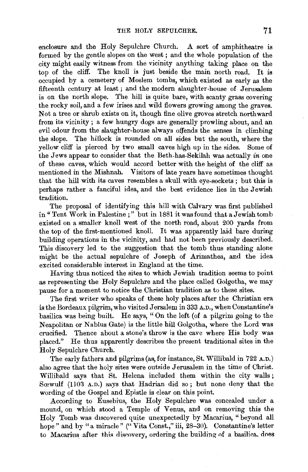enclosure and the Holy Sepulchre Church. A sort of amphitheatre is formed by the gentle slopes on the west ; and the whole population of the city might easily witness from the vicinity anything taking place on the top of the cliff. The knoll is just beside the main north road. It is occupied by a cemetery of Moslem tombs, which existed as early as the fifteenth century at least; and the modern slaughter-house of Jerusalem is on the north slope. The hill is quite bare, with scanty grass covering the rocky soil, and a few irises and wild flowers growing among the graves. Not a tree or shrub exists on it, though fine olive groves stretch northward from its vicinity ; a few hungry dogs are generally prowling about, and an evil odour from the slaughter-house always offends the senses in climbing the slope. The hillock is rounded on all sides but the south, where the yellow cliff is pierced by two small caves high up in the sides. Some of the Jews appear to consider that the Beth-has-Sekilah was actually *in* one of these caves, which would accord better with the height of the cliff as mentioned in the Mishnah. Visitors of late years have sometimes thought that the hill with its caves resembles a skull with eye-sockets; but this is perhaps rather a fanciful idea, and the best evidence lies in the Jewish tradition.

The proposal of identifying this hill with Calvary was first published in" Tent Work in Palestine ; " but in 1881 it was found that a Jewish tomb existed on a smaller knoll west of the north road, about 200 yards from the top of the first-mentioned knoll. It was apparently laid bare during building operations in the vicinity, and had not been previously described. This discovery led to the suggestion that the tomb thus standing alone might be the actual sepulchre of Joseph of Arimathea, and the idea excited considerable interest in England at the time.

Having thus noticed the sites to which Jewish tradition seems to point as representing the Holy Sepulchre and the place called Golgotha, we may pause for a moment to notice the Christian tradition as to these sites.

The first writer who speaks of these holy places after the Christian era is the Bordeaux pilgrim, who visited Jersalem in 333 A.D., when Constantine's basilica was being built. He says, " On the left (of a pilgrim going to the Neapolitan or Nablus Gate) is the little hill Golgotha, where the Lord was crucified. Thence about a stone's throw is the cave where His body was placed." He thus apparently describes the present traditional sites in the Holy Sepulchre Church.

The early fathers and pilgrims (as, for instance, St. Willibald in 722 A. D.) also agree that the holy sites were outside Jerusalem in the time of Christ. Willibald says that St. Helena included them within the city walls ; Sœwulf (1103 A.D.) says that Hadrian did so; but none deny that the wording of the Gospel and Epistle is clear on this point.

According to Eusebius, the Holy Sepulchre was concealed under a mound, on which stood a Temple of Venus, and on removing this the Holy Tomb was discovered quite unexpectedly by Macarius, " beyond all hope" and by "a miracle" ("Vita Const.," iii, 28-30). Constantine's letter to Macarius after this discovery, ordering the building of a basilica. does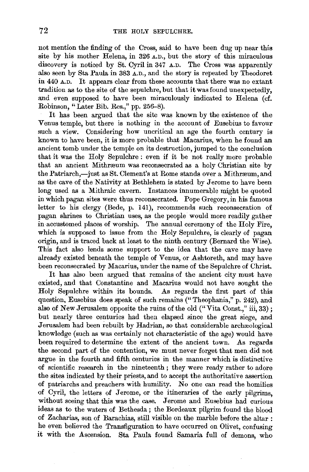not mention the finding of the Cross, said to have been dug up near this site by his mother Helena, in 326 A.D., but the story of this miraculous discovery is noticed by St. Cyril in 347 A.D. The Cross was apparently also seen by Sta Paula in 383 A.D., and the story is repeated by Theodoret in 440 A.D. It appears clear from these accounts that there was no extant tradition as to the site of the sepulchre, but that it was found unexpectedly, and even supposed to have been miraculously indicated to Helena (cf. Robinson, "Later Bib. Res.," pp. 256-8).

It has been argued that the site was known by the existence of the Venus temple, but there is nothing in the account of Eusebius to favour such a view. Considering how uncritical an age the fourth century is known to have been, it is more probable that Macarius, when he found an ancient tomb under the temple on its destruction, jumped to the conclusion that it was the Holy Sepulchre : even if it be not really more probable that an ancient Mithræum was reconsecrated as a holy Christian site by the Patriarch,-just as St. Clement's at Rome stands over a Mithraeum, and as the cave of the Nativity at Bethlehem is stated by Jerome to have been long used as a Mithraic cavern. Instances innumerable might be quoted in which pagan sites were thus reconsecrated. Pope Gregory, in his famous letter to his clergy (Bede, p. 141), recommends such reconsecration of pagan shrines to Christian uses, as the people would more readily gather in accustomed places of worship. The annual ceremony of the Holy Fire, which is supposed to issue from the Holy Sepulchre, is clearly of pagan origin, and is traced back at least to the ninth century (Bernard the Wise). This fact also lends some support to the idea that the cave may have already existed beneath the temple of Venus, or Ashtoreth, and may have been reconsecrated by Macarius, under the name of the Sepulchre of Christ.

It has also been argued that remains of the ancient city must have existed, and that Constantine and Macarius would not have sought the Holy Sepulchre within its bounds. As regards the first part of this question, Eusebius does speak of such remains ("Theophania," p. 242), and also of New Jerusalem opposite the ruins of the old ("Vita Const.," iii, 33); but nearly three centuries had then elapsed since the great siege, and Jerusalem had been rebuilt by Hadrian, so that considerable archaeological knowledge (such as was certainly not characteristic of the age) would have been required to determine the extent of the ancient town. As regards the second part of the contention, we must never forget that men did not argue in the fourth and fifth centuries in the manner which is distinctive of scientific research in the nineteenth ; they were ready rather to adore the sites indicated by their priests, and to accept the authoritative assertion of patriarchs and preachers with humility. No one can read the homilies of Cyril, the letters of Jerome, or the itineraries of the early pilgrims, without seeing that this was the case. Jerome and Eusebius had curious ideas as to the waters of Bethesda; the Bordeaux pilgrim found the blood of Zacharias, son of Barachias, still visible on the marble before the altar : he even believed the Transfiguration to have occurred on Olivet, confusing it with the Ascension. Sta Paula found Samaria full of demons, who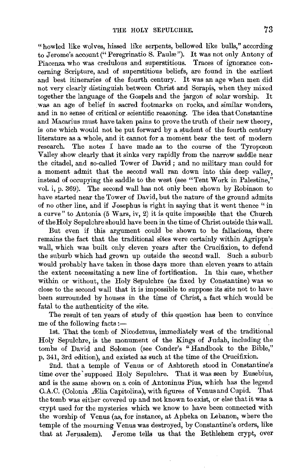"howled like wolves, hissed like serpents, bellowed like bulls," according to Jerome's account ("Peregrinatio S. Paulæ"). It was not only Antony of Piacenza who was credulous and superstitious. Traces of ignorance concerning Scripture, and of superstitious beliefs, are found in the earliest and best itineraries of the fourth century. It was an age when men did not very clearly distinguish between Christ and Serapis, when they mixed together the language of the Gospels and the jargon of solar worship. was an age of belief in sacred footmarks on rocks, and similar wonders, and in no sense of critical or scientific reasoning. The idea that Constantine and Macarius must have taken pains to prove the truth of their new theory, is one which would not be put forward by a student of the fourth century literature as a whole, and it cannot for a moment bear the test of modern research. The notes I have made as to the course of the Tyropceon Valley show clearly that it sinks very rapidly from the narrow saddle near the citadel, and so-called Tower of David ; and no military man could for a moment admit that the second wall ran down into this deep valley, instead of occupying the saddle to the west (see "Tent Work in Palestine," vol. i, p. 369). The second wall has not only been shown by Robinson to have started near the Tower of David, but the nature of the ground admits of no other line, and if Josephus is right in saying that it went thence "in a curve" to Antonia (5 Wars, iv, 2) it is quite impossible that the Church of the Holy Sepulchre should have been in the time of Christ outside this wall.

But even if this argument could be shown to be fallacious, there remains the fact that the traditional sites were certainly within Agrippa's wall, which was built only eleven years after the Crucifixion, to defend the suburb which had grown up outside the second wall. Such a suburb would probably have taken in those days more than eleven years to attain the extent necessitating a new line of fortification. In this case, whether within or without, the Holy Sepulchre (as fixed by Constantine) was so close to the second wall that it is impossible to suppose its site not to have been surrounded by houses in the time of Christ, a fact which would be fatal to the authenticity of the site.

The result of ten years of study of this question has been to convince me of the following facts : $-$ 

1st. That the tomb of Nicodemus, immediately west of the traditional Holy Sepulchre, is the monument of the Kings of Judah, including the tombs of David and Solomon (see Conder's "Handbook to the Bible,'' p. 341, 3rd edition), and existed as such at the time of the Crucifixion.

2nd. that a temple of Venus or of Ashtoreth stood in Constantine's time over the' supposed Holy Sepulchre. That it was seen by Eusebius, and is the same shown on a coin of Antoninus Pius, which has the legend C.A.C. (Colonia Ælia Capitolina), with figures of Venus and Cupid. That the tomb was either covered up and not known to exist, or else that it was a crypt used for the mysteries which we know to have been connected with the worship of Venus (as, for instance, at Apheka on Lebanon, where the temple of the mourning Venus was destroyed, by Constantine's orders, like that at Jerusalem). Jerome tells us that the Bethlehem crypt, over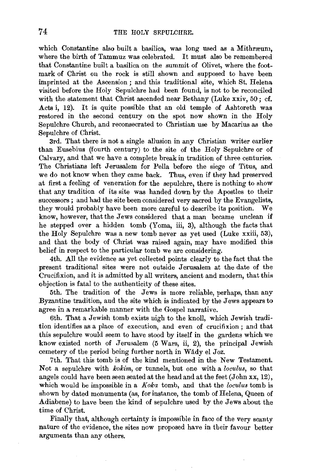which Constantine also built a basilica, was long used as a Mithræum, where the birth of Tammuz was celebrated. It must also be remembered that Constantine built a basilica on the summit of Olivet, where the footmark of Christ on the rock is still shown and supposed to have been imprinted at the Ascension ; and this traditional site, which St. Helena visited before the Holy Sepulchre had been found, is not to be reconciled with the statement that Christ ascended near Bethany (Luke xxiv, 50; cf. Acts i, 12). It is quite possible that an old temple of Ashtoreth was restored in the second century on the spot now shown in the Holy Sepulchre Church, and reconsecrated to Christian use by Macarius as the Sepulchre of Christ.

3rd. That there is not a single allusion in any Christian writer earlier than Eusebius (fourth century) to the site of the Holy Sepulchre or of Calvary, and that we have a complete break in tradition of three centuries. The Christians left Jerusalem for Pella before the siege of Titus, and we do not know when they came back. Thus, even if they had preserved at first a feeling of veneration for the sepulchre, there is nothing to show that any tradition of its site was handed down by the Apostles to their successors ; and had the site been considered very sacred by the Evangelists, they would probably have been more careful to describe its position. We know, however, that the Jews considered that a man became unclean if he stepped over a hidden tomb (Yoma, iii, 3), although the facts that the Holy Sepulchre was a new tomb never as yet used (Luke xxiii, 53), and that the body of Christ was raised again, may have modified this belief in respect to the particular tomb we are considering.

4th. All the evidence as yet collected points clearly to the fact that the present traditional sites were not outside Jerusalem at the date of the Crucifixion, and it is admitted by all writers, ancient and modern, that this objection is fatal to the authenticity of these sites.

5th. The tradition of the Jews is more reliable, perhaps, than any Byzantine tradition, and the site which is indicated by the Jews appears to agree in a remarkable manner with the Gospel narrative.

6th. That a Jewish tomb exists nigh to the knoll, which Jewish tradition identifies as a place of execution, and even of crucifixion ; and that this sepulchre would seem to have stood by itself in the gardens which we know existed north of Jerusalem (5 Wars, ii, 2), the principal Jewish cemetery of the period being further north in Wâdy el Joz.

7th. That this tomb is of the kind mentioned in the New Testament. Not a sepulchre with *kokim,* or tunnels, but one with a *loculus,* so that angels could have been seen seated at the head and at the feet (John xx, 12), which would be impossible in a *Koka* tomb, and that the *loculus* tomb is shown by dated monuments (as, forinstance, the tomb of Helena, Queen of Adiabene) to have been the kind of sepulchre used by the Jews about the time of Christ.

Finally that, although certainty is impossible in faec of the very scanty nature of the evidence, the sites now proposed have in their favour better arguments than any others.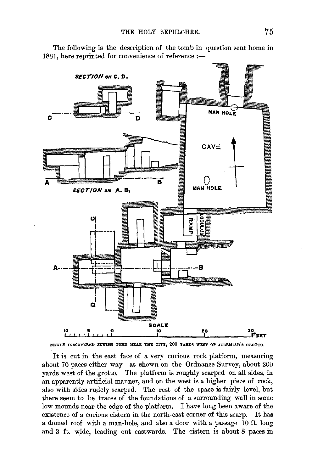

The following is the description of the tomb in question sent home in 1881, here reprinted for convenience of reference:-



It is cut in the east face of a very curious rock platform, measuring about 70 paces either way-as shown on the Ordnance Survey, about 200 yards west of the grotto. The platform is roughly scarped on all sides, in an apparently artificial manner, and on the west is a higher piece of rock, also with sides rudely scarped. The rest of the space is fairly level, but there seem to be traces of the foundations of a surrounding wall in some low mounds near the edge of the platform. I have long been aware of the existence of a curious cistern in the north-east corner of this scarp. It has a domed roof with a man-hole, and also a door with a passage 10 ft. long and 3 ft. wide, leading out eastwards. The cistern is about 8 paces in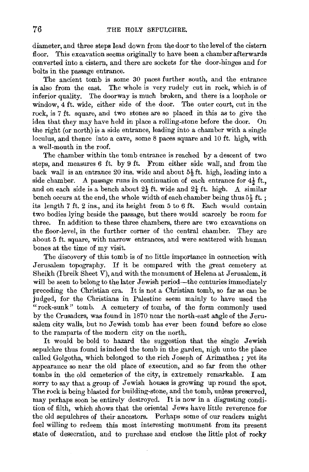diameter, and three steps lead down from the door to the level of the cistern floor. This excavation seems originally to have been a chamber afterwards converted into a cistern, and there are sockets for the door-hinges and for bolts in the passage entrance.

The ancient tomb is some 30 paces further south, and the entrance is also from the east. The whole is very rudely cut in rock, which is of inferior quality. The doorway is much broken, and there is a loophole or window, 4 ft. wide, either side of the door. The outer court, cut in the rock, is 7 ft. square, and two stones are so placed in this as to give the idea that they may have held in place a rolling-stone before the door. On the right (or north) is a side entrance, leading into a chamber with a single loculus, and thence into a cave, some 8 paces square and 10 ft. high, with a well-mouth in the roof.

The chamber within the tomb entrance is reached by a descent of two steps, and measures 6 ft. by 9 ft. From either side wall, and from the back wall is an entrance  $20$  ins. wide and about  $5\frac{1}{9}$  ft. high, leading into a side chamber. A passage runs in continuation of each entrance for  $4\frac{1}{2}$  ft. and on each side is a bench about  $2\frac{1}{2}$  ft. wide and  $2\frac{1}{4}$  ft. high. A similar bench occurs at the end, the whole width of each chamber being thus  $5\frac{1}{2}$  ft. ; its length 7 ft. 2 ins., and its height from 5 to 6 ft. Each would contain two bodies lying beside the passage, but there would scarcely be room for three. In addition to these three chambers, there are two excavations on the floor-level, in the further corner of the central chamber. They are about 5 ft. square, with narrow entrances, and were scattered with human bones at the time of my visit.

The discovery of this tomb is of no little importance in connection with Jerusalem topography. If it be compared with the great cemetery at Sheikh (Ibreik Sheet V), and with the monument of Helena at Jerusalem, it will be seen to belong to the later Jewish period—the centuries immediately preceding the Christian era. It is not a Christian tomb, so far as can be judged, for the Christians in Palestine seem mainly to have used the "rock-sunk'' tomb. A cemetery of tombs, of the form commonly used by the Crusaders, was found in 1870 near the north-east angle of the Jerusalem city walls, but no Jewish tomb has ever been found before so close to the ramparts of the modern city on the north.

It would be bold to hazard the suggestion that the single Jewish sepulchre thus found is indeed the tomb in the garden, nigh unto the place called Golgotha, which belonged to the rich Joseph of Arimathea; yet its appearance so near the old place of execution, and so far from the other tombs in the old cemeteries of the city, is extremely remarkable. I am sorry to say that a group of Jewish houses is growing up round the spot. The rock is being blasted for building-stone, and the tomb, unless preserved, may perhaps soon be entirely destroyed. It is now in a disgusting condition of filth, which shows that the oriental Jews have little reverence for the old sepulchres of their ancestors. Perhaps some of our readers might feel willing to redeem this most interesting monument from its present state of desecration, and to purchase and enclose the little plot of rocky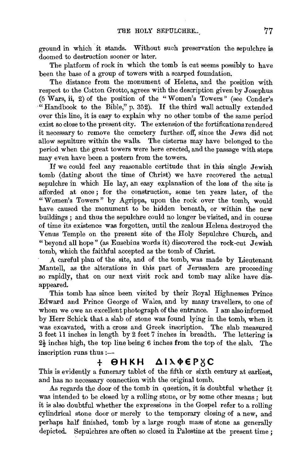ground in which it stands. Without such preservation the sepulchre is doomed to destruction sooner or later.

The platform of rock in which the tomb is cut seems possibly to have been the base of a group of towers with a scarped foundation.

The distance from the monument of Helena, and the position with respect to the Cotton Grotto, agrees with the description given by Josephus (5 Wars, ii, 2) of the position of the "Women's Towers" (see Conder's "Handbook to the Bible," p. 352). If the third wall actually extended over this line, it is easy to explain why no other tombs of the same period exist so close to the present city. The extension of the fortifications rendered it necessary to remove the cemetery further. off, since the Jews did not allow sepulture within the walls. The cistems may have belonged to the period when the great towers were here erected, and the passage with steps may even have been a postern from the towers.

If we could feel any reasonable certitude that in this single Jewish tomb (dating about the time of Christ) we have recovered the actual sepulchre in which He lay, an easy explanation of the loss of the site is afforded at once ; for the construction,. some ten years later, of the "Women's Towers" by Agrippa, upon the rock over the tomb, would have caused the monument to be hidden beneath, or within the new buildings ; and thus the sepulchre could no longer be visited, and in course of time its existence was forgotten, until the zealous Helena destroyed the Venus Temple on the present site of the Holy Sepulchre Church, and "beyond all hope" (as Eusebius words it) discovered the rock-cut Jewish tomb, which the faithful accepted as the tomb of Christ.

A careful plan of the site, and of the tomb, was made by Lieutenant Mantell, as the alterations in this part of Jerusalem are proceeding so rapidly, that on our next visit rock and tomb may alike have disappeared.

This tomb has since been visited by their Royal Highnesses Prince Edward and Prince George of Wales, and by many travellers, to one of whom we owe an excellent photograph of the entrance. I am also informed by Herr Schick that a slab of stone was found lying in the tomb, when it was excursive use of some was found tying in the comp, when it as excavated, with a cross and Greek inscription. The siap measured<br>feet 11 inches in length by 2 feet 7 inches in breadth. The lettering is  $\frac{1}{2}$  is the top line being the top state. The every is the top of the slab. The lettering is  $2\frac{1}{2}$  inches high, the top line being 6 inches from the top of the slab. The inscription runs thus :-

## $+$   $\Theta$ HKH  $\Delta$ IX $\Phi$ EP $\times$ C

This is evidently a funerary tablet of the fifth or sixth century at earliest, and has no necessary connection with the original tomb.

As regards the door of the tomb in question, it is doubtful whether it was intended to be closed by a rolling stone, or by some other means ; but it is also doubtful whether the expressions in the Gospel refer to a rolling cylindrical stone door or merely to the temporary closing of a new, and perhaps half finished, tomb by a large rough mass of stone as generally depicted. Sepulchres are often so closed in Palestine at the present time ;